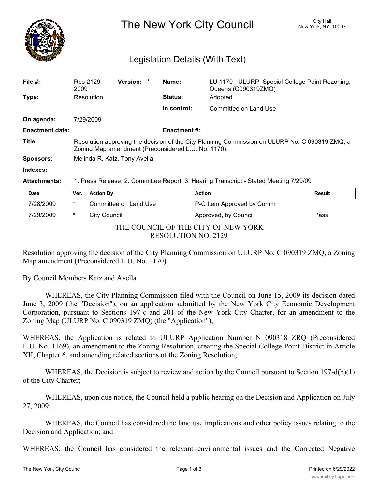

The New York City Council New York, NY 10007

## Legislation Details (With Text)

| File $#$ :             | Res 2129-<br>2009                                                                                                                                     | <b>Version:</b> | Name:               | LU 1170 - ULURP, Special College Point Rezoning,<br>Queens (C090319ZMQ) |               |  |
|------------------------|-------------------------------------------------------------------------------------------------------------------------------------------------------|-----------------|---------------------|-------------------------------------------------------------------------|---------------|--|
| Type:                  | Resolution                                                                                                                                            |                 | <b>Status:</b>      | Adopted                                                                 |               |  |
|                        |                                                                                                                                                       |                 | In control:         | Committee on Land Use                                                   |               |  |
| On agenda:             | 7/29/2009                                                                                                                                             |                 |                     |                                                                         |               |  |
| <b>Enactment date:</b> |                                                                                                                                                       |                 | <b>Enactment #:</b> |                                                                         |               |  |
| Title:                 | Resolution approving the decision of the City Planning Commission on ULURP No. C 090319 ZMQ, a<br>Zoning Map amendment (Preconsidered L.U. No. 1170). |                 |                     |                                                                         |               |  |
| <b>Sponsors:</b>       | Melinda R. Katz, Tony Avella                                                                                                                          |                 |                     |                                                                         |               |  |
| Indexes:               |                                                                                                                                                       |                 |                     |                                                                         |               |  |
| <b>Attachments:</b>    | 1. Press Release, 2. Committee Report, 3. Hearing Transcript - Stated Meeting 7/29/09                                                                 |                 |                     |                                                                         |               |  |
| <b>Date</b>            | <b>Action By</b><br>Ver.                                                                                                                              |                 |                     | <b>Action</b>                                                           | <b>Result</b> |  |
|                        |                                                                                                                                                       |                 |                     |                                                                         |               |  |

| 7/28/2009                           | * | Committee on Land Use | P-C Item Approved by Comm |      |  |  |  |  |
|-------------------------------------|---|-----------------------|---------------------------|------|--|--|--|--|
| 7/29/2009                           | * | City Council          | Approved, by Council      | Pass |  |  |  |  |
| THE COUNCIL OF THE CITY OF NEW YORK |   |                       |                           |      |  |  |  |  |
| <b>RESOLUTION NO. 2129</b>          |   |                       |                           |      |  |  |  |  |

Resolution approving the decision of the City Planning Commission on ULURP No. C 090319 ZMQ, a Zoning Map amendment (Preconsidered L.U. No. 1170).

By Council Members Katz and Avella

WHEREAS, the City Planning Commission filed with the Council on June 15, 2009 its decision dated June 3, 2009 (the "Decision"), on an application submitted by the New York City Economic Development Corporation, pursuant to Sections 197-c and 201 of the New York City Charter, for an amendment to the Zoning Map (ULURP No. C 090319 ZMQ) (the "Application");

WHEREAS, the Application is related to ULURP Application Number N 090318 ZRQ (Preconsidered L.U. No. 1169), an amendment to the Zoning Resolution, creating the Special College Point District in Article XII, Chapter 6, and amending related sections of the Zoning Resolution;

WHEREAS, the Decision is subject to review and action by the Council pursuant to Section 197-d(b)(1) of the City Charter;

WHEREAS, upon due notice, the Council held a public hearing on the Decision and Application on July 27, 2009;

WHEREAS, the Council has considered the land use implications and other policy issues relating to the Decision and Application; and

WHEREAS, the Council has considered the relevant environmental issues and the Corrected Negative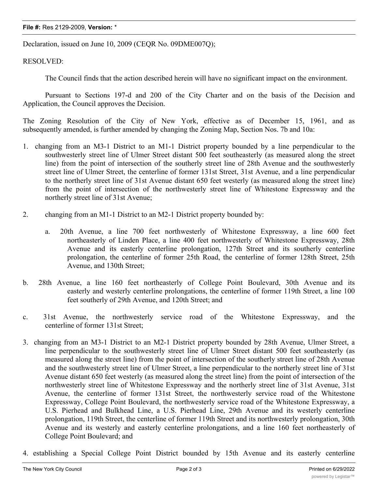## **File #:** Res 2129-2009, **Version:** \*

Declaration, issued on June 10, 2009 (CEQR No. 09DME007Q);

RESOLVED:

The Council finds that the action described herein will have no significant impact on the environment.

Pursuant to Sections 197-d and 200 of the City Charter and on the basis of the Decision and Application, the Council approves the Decision.

The Zoning Resolution of the City of New York, effective as of December 15, 1961, and as subsequently amended, is further amended by changing the Zoning Map, Section Nos. 7b and 10a:

- 1. changing from an M3-1 District to an M1-1 District property bounded by a line perpendicular to the southwesterly street line of Ulmer Street distant 500 feet southeasterly (as measured along the street line) from the point of intersection of the southerly street line of 28th Avenue and the southwesterly street line of Ulmer Street, the centerline of former 131st Street, 31st Avenue, and a line perpendicular to the northerly street line of 31st Avenue distant 650 feet westerly (as measured along the street line) from the point of intersection of the northwesterly street line of Whitestone Expressway and the northerly street line of 31st Avenue;
- 2. changing from an M1-1 District to an M2-1 District property bounded by:
	- a. 20th Avenue, a line 700 feet northwesterly of Whitestone Expressway, a line 600 feet northeasterly of Linden Place, a line 400 feet northwesterly of Whitestone Expressway, 28th Avenue and its easterly centerline prolongation, 127th Street and its southerly centerline prolongation, the centerline of former 25th Road, the centerline of former 128th Street, 25th Avenue, and 130th Street;
- b. 28th Avenue, a line 160 feet northeasterly of College Point Boulevard, 30th Avenue and its easterly and westerly centerline prolongations, the centerline of former 119th Street, a line 100 feet southerly of 29th Avenue, and 120th Street; and
- c. 31st Avenue, the northwesterly service road of the Whitestone Expressway, and the centerline of former 131st Street;
- 3. changing from an M3-1 District to an M2-1 District property bounded by 28th Avenue, Ulmer Street, a line perpendicular to the southwesterly street line of Ulmer Street distant 500 feet southeasterly (as measured along the street line) from the point of intersection of the southerly street line of 28th Avenue and the southwesterly street line of Ulmer Street, a line perpendicular to the northerly street line of 31st Avenue distant 650 feet westerly (as measured along the street line) from the point of intersection of the northwesterly street line of Whitestone Expressway and the northerly street line of 31st Avenue, 31st Avenue, the centerline of former 131st Street, the northwesterly service road of the Whitestone Expressway, College Point Boulevard, the northwesterly service road of the Whitestone Expressway, a U.S. Pierhead and Bulkhead Line, a U.S. Pierhead Line, 29th Avenue and its westerly centerline prolongation, 119th Street, the centerline of former 119th Street and its northwesterly prolongation, 30th Avenue and its westerly and easterly centerline prolongations, and a line 160 feet northeasterly of College Point Boulevard; and
- 4. establishing a Special College Point District bounded by 15th Avenue and its easterly centerline

prolongation, the easterly street line of 132nd Street, the southerly boundary line of Frank Golden